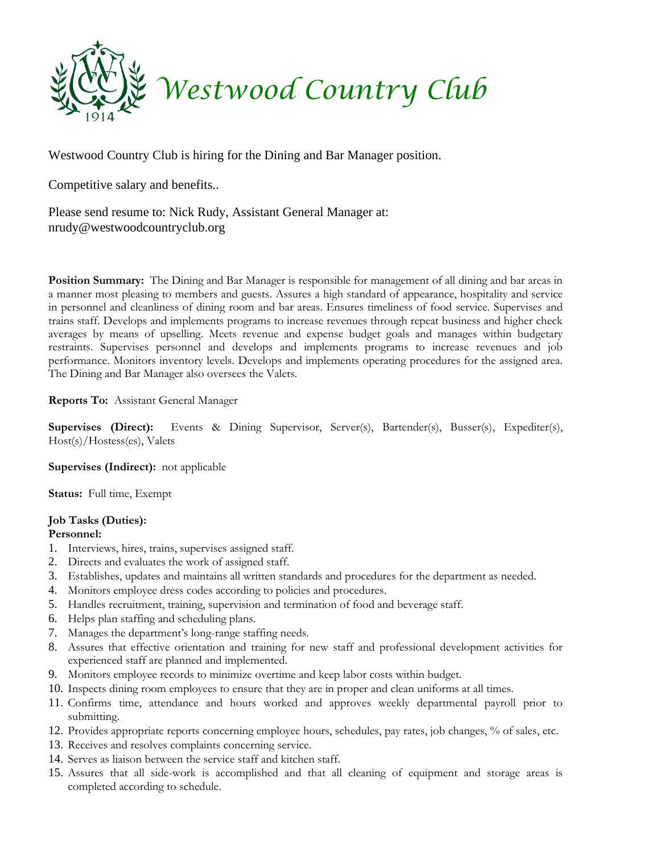

Westwood Country Club is hiring for the Dining and Bar Manager position.

Competitive salary and benefits..

Please send resume to: Nick Rudy, Assistant General Manager at: nrudy@westwoodcountryclub.org

**Position Summary:** The Dining and Bar Manager is responsible for management of all dining and bar areas in a manner most pleasing to members and guests. Assures a high standard of appearance, hospitality and service in personnel and cleanliness of dining room and bar areas. Ensures timeliness of food service. Supervises and trains staff. Develops and implements programs to increase revenues through repeat business and higher check averages by means of upselling. Meets revenue and expense budget goals and manages within budgetary restraints. Supervises personnel and develops and implements programs to increase revenues and job performance. Monitors inventory levels. Develops and implements operating procedures for the assigned area. The Dining and Bar Manager also oversees the Valets.

**Reports To:** Assistant General Manager

**Supervises (Direct):** Events & Dining Supervisor, Server(s), Bartender(s), Busser(s), Expediter(s), Host(s)/Hostess(es), Valets

**Supervises (Indirect):** not applicable

**Status:** Full time, Exempt

# **Job Tasks (Duties):**

### **Personnel:**

- 1. Interviews, hires, trains, supervises assigned staff.
- 2. Directs and evaluates the work of assigned staff.
- 3. Establishes, updates and maintains all written standards and procedures for the department as needed.
- 4. Monitors employee dress codes according to policies and procedures.
- 5. Handles recruitment, training, supervision and termination of food and beverage staff.
- 6. Helps plan staffing and scheduling plans.
- 7. Manages the department's long-range staffing needs.
- 8. Assures that effective orientation and training for new staff and professional development activities for experienced staff are planned and implemented.
- 9. Monitors employee records to minimize overtime and keep labor costs within budget.
- 10. Inspects dining room employees to ensure that they are in proper and clean uniforms at all times.
- 11. Confirms time, attendance and hours worked and approves weekly departmental payroll prior to submitting.
- 12. Provides appropriate reports concerning employee hours, schedules, pay rates, job changes, % of sales, etc.
- 13. Receives and resolves complaints concerning service.
- 14. Serves as liaison between the service staff and kitchen staff.
- 15. Assures that all side-work is accomplished and that all cleaning of equipment and storage areas is completed according to schedule.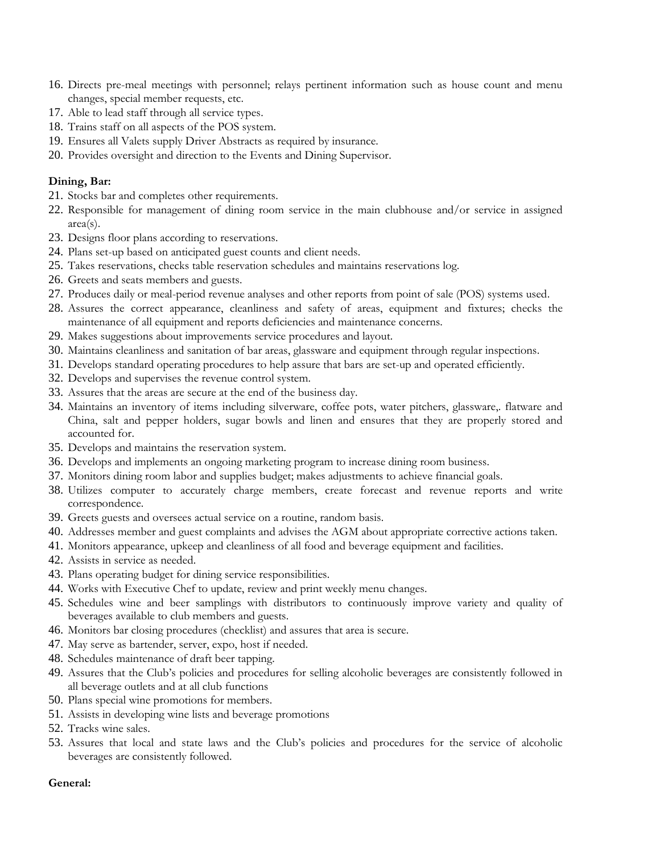- 16. Directs pre-meal meetings with personnel; relays pertinent information such as house count and menu changes, special member requests, etc.
- 17. Able to lead staff through all service types.
- 18. Trains staff on all aspects of the POS system.
- 19. Ensures all Valets supply Driver Abstracts as required by insurance.
- 20. Provides oversight and direction to the Events and Dining Supervisor.

#### **Dining, Bar:**

- 21. Stocks bar and completes other requirements.
- 22. Responsible for management of dining room service in the main clubhouse and/or service in assigned area(s).
- 23. Designs floor plans according to reservations.
- 24. Plans set-up based on anticipated guest counts and client needs.
- 25. Takes reservations, checks table reservation schedules and maintains reservations log.
- 26. Greets and seats members and guests.
- 27. Produces daily or meal-period revenue analyses and other reports from point of sale (POS) systems used.
- 28. Assures the correct appearance, cleanliness and safety of areas, equipment and fixtures; checks the maintenance of all equipment and reports deficiencies and maintenance concerns.
- 29. Makes suggestions about improvements service procedures and layout.
- 30. Maintains cleanliness and sanitation of bar areas, glassware and equipment through regular inspections.
- 31. Develops standard operating procedures to help assure that bars are set-up and operated efficiently.
- 32. Develops and supervises the revenue control system.
- 33. Assures that the areas are secure at the end of the business day.
- 34. Maintains an inventory of items including silverware, coffee pots, water pitchers, glassware,. flatware and China, salt and pepper holders, sugar bowls and linen and ensures that they are properly stored and accounted for.
- 35. Develops and maintains the reservation system.
- 36. Develops and implements an ongoing marketing program to increase dining room business.
- 37. Monitors dining room labor and supplies budget; makes adjustments to achieve financial goals.
- 38. Utilizes computer to accurately charge members, create forecast and revenue reports and write correspondence.
- 39. Greets guests and oversees actual service on a routine, random basis.
- 40. Addresses member and guest complaints and advises the AGM about appropriate corrective actions taken.
- 41. Monitors appearance, upkeep and cleanliness of all food and beverage equipment and facilities.
- 42. Assists in service as needed.
- 43. Plans operating budget for dining service responsibilities.
- 44. Works with Executive Chef to update, review and print weekly menu changes.
- 45. Schedules wine and beer samplings with distributors to continuously improve variety and quality of beverages available to club members and guests.
- 46. Monitors bar closing procedures (checklist) and assures that area is secure.
- 47. May serve as bartender, server, expo, host if needed.
- 48. Schedules maintenance of draft beer tapping.
- 49. Assures that the Club's policies and procedures for selling alcoholic beverages are consistently followed in all beverage outlets and at all club functions
- 50. Plans special wine promotions for members.
- 51. Assists in developing wine lists and beverage promotions
- 52. Tracks wine sales.
- 53. Assures that local and state laws and the Club's policies and procedures for the service of alcoholic beverages are consistently followed.

#### **General:**